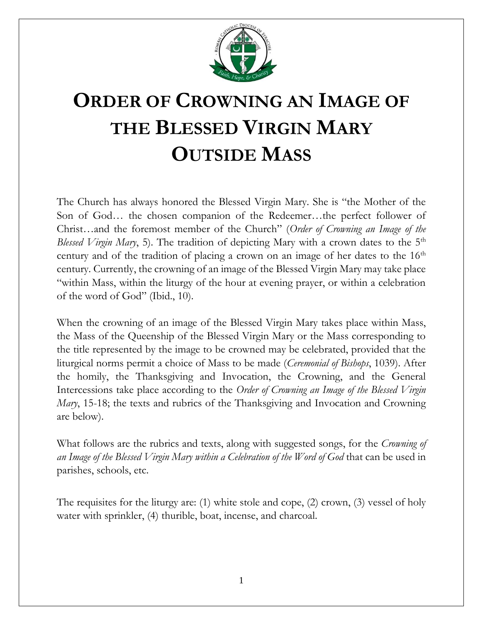

# **ORDER OF CROWNING AN IMAGE OF THE BLESSED VIRGIN MARY OUTSIDE MASS**

The Church has always honored the Blessed Virgin Mary. She is "the Mother of the Son of God… the chosen companion of the Redeemer…the perfect follower of Christ…and the foremost member of the Church" (*Order of Crowning an Image of the Blessed Virgin Mary*, 5). The tradition of depicting Mary with a crown dates to the 5<sup>th</sup> century and of the tradition of placing a crown on an image of her dates to the  $16<sup>th</sup>$ century. Currently, the crowning of an image of the Blessed Virgin Mary may take place "within Mass, within the liturgy of the hour at evening prayer, or within a celebration of the word of God" (Ibid., 10).

When the crowning of an image of the Blessed Virgin Mary takes place within Mass, the Mass of the Queenship of the Blessed Virgin Mary or the Mass corresponding to the title represented by the image to be crowned may be celebrated, provided that the liturgical norms permit a choice of Mass to be made (*Ceremonial of Bishops*, 1039). After the homily, the Thanksgiving and Invocation, the Crowning, and the General Intercessions take place according to the *Order of Crowning an Image of the Blessed Virgin Mary*, 15-18; the texts and rubrics of the Thanksgiving and Invocation and Crowning are below).

What follows are the rubrics and texts, along with suggested songs, for the *Crowning of an Image of the Blessed Virgin Mary within a Celebration of the Word of God* that can be used in parishes, schools, etc.

The requisites for the liturgy are: (1) white stole and cope, (2) crown, (3) vessel of holy water with sprinkler, (4) thurible, boat, incense, and charcoal.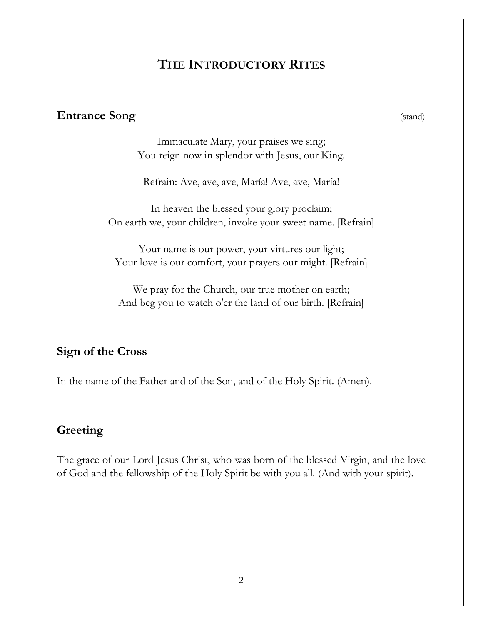# **THE INTRODUCTORY RITES**

#### **Entrance Song** (stand)

Immaculate Mary, your praises we sing; You reign now in splendor with Jesus, our King.

Refrain: Ave, ave, ave, María! Ave, ave, María!

In heaven the blessed your glory proclaim; On earth we, your children, invoke your sweet name. [Refrain]

Your name is our power, your virtures our light; Your love is our comfort, your prayers our might. [Refrain]

We pray for the Church, our true mother on earth; And beg you to watch o'er the land of our birth. [Refrain]

#### **Sign of the Cross**

In the name of the Father and of the Son, and of the Holy Spirit. (Amen).

#### **Greeting**

The grace of our Lord Jesus Christ, who was born of the blessed Virgin, and the love of God and the fellowship of the Holy Spirit be with you all. (And with your spirit).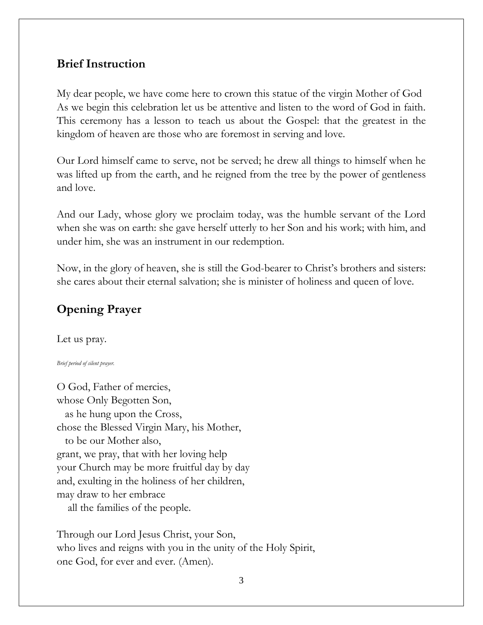# **Brief Instruction**

My dear people, we have come here to crown this statue of the virgin Mother of God As we begin this celebration let us be attentive and listen to the word of God in faith. This ceremony has a lesson to teach us about the Gospel: that the greatest in the kingdom of heaven are those who are foremost in serving and love.

Our Lord himself came to serve, not be served; he drew all things to himself when he was lifted up from the earth, and he reigned from the tree by the power of gentleness and love.

And our Lady, whose glory we proclaim today, was the humble servant of the Lord when she was on earth: she gave herself utterly to her Son and his work; with him, and under him, she was an instrument in our redemption.

Now, in the glory of heaven, she is still the God-bearer to Christ's brothers and sisters: she cares about their eternal salvation; she is minister of holiness and queen of love.

# **Opening Prayer**

Let us pray.

#### *Brief period of silent prayer.*

O God, Father of mercies, whose Only Begotten Son, as he hung upon the Cross, chose the Blessed Virgin Mary, his Mother, to be our Mother also, grant, we pray, that with her loving help your Church may be more fruitful day by day and, exulting in the holiness of her children, may draw to her embrace all the families of the people.

Through our Lord Jesus Christ, your Son, who lives and reigns with you in the unity of the Holy Spirit, one God, for ever and ever. (Amen).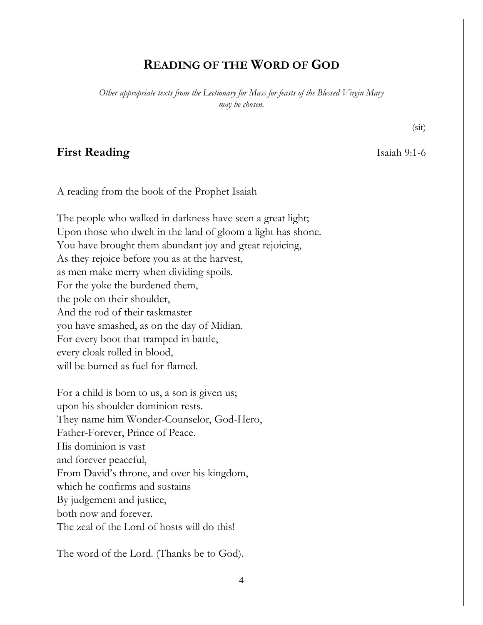### **READING OF THE WORD OF GOD**

*Other appropriate texts from the Lectionary for Mass for feasts of the Blessed Virgin Mary may be chosen.*

#### **First Reading** Isaiah 9:1-6

(sit)

#### A reading from the book of the Prophet Isaiah

The people who walked in darkness have seen a great light; Upon those who dwelt in the land of gloom a light has shone. You have brought them abundant joy and great rejoicing, As they rejoice before you as at the harvest, as men make merry when dividing spoils. For the yoke the burdened them, the pole on their shoulder, And the rod of their taskmaster you have smashed, as on the day of Midian. For every boot that tramped in battle, every cloak rolled in blood, will be burned as fuel for flamed.

For a child is born to us, a son is given us; upon his shoulder dominion rests. They name him Wonder-Counselor, God-Hero, Father-Forever, Prince of Peace. His dominion is vast and forever peaceful, From David's throne, and over his kingdom, which he confirms and sustains By judgement and justice, both now and forever. The zeal of the Lord of hosts will do this!

The word of the Lord. (Thanks be to God).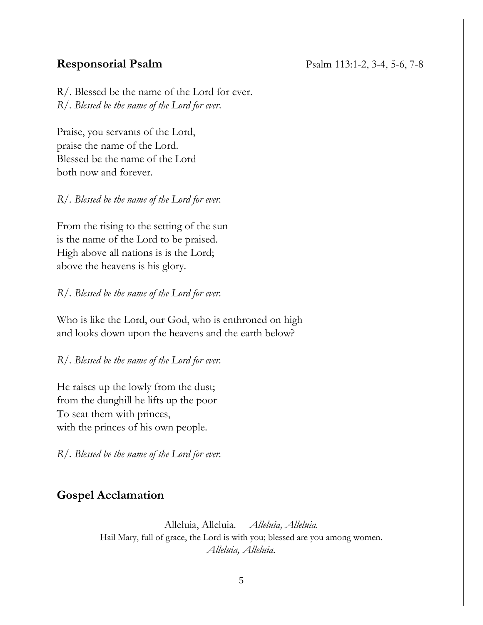R/. Blessed be the name of the Lord for ever. *R/. Blessed be the name of the Lord for ever*.

Praise, you servants of the Lord, praise the name of the Lord. Blessed be the name of the Lord both now and forever.

*R/. Blessed be the name of the Lord for ever.*

From the rising to the setting of the sun is the name of the Lord to be praised. High above all nations is is the Lord; above the heavens is his glory.

*R/. Blessed be the name of the Lord for ever.*

Who is like the Lord, our God, who is enthroned on high and looks down upon the heavens and the earth below?

*R/. Blessed be the name of the Lord for ever.*

He raises up the lowly from the dust; from the dunghill he lifts up the poor To seat them with princes, with the princes of his own people.

*R/. Blessed be the name of the Lord for ever.*

### **Gospel Acclamation**

Alleluia, Alleluia. *Alleluia, Alleluia.* Hail Mary, full of grace, the Lord is with you; blessed are you among women. *Alleluia, Alleluia.*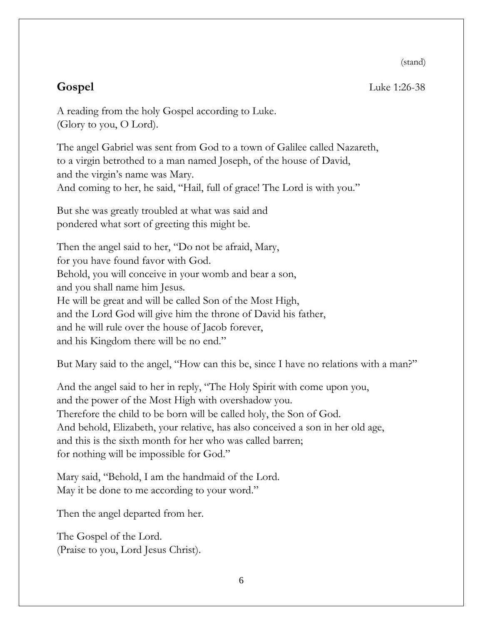(stand)

**Gospel** Luke 1:26-38

A reading from the holy Gospel according to Luke. (Glory to you, O Lord).

The angel Gabriel was sent from God to a town of Galilee called Nazareth, to a virgin betrothed to a man named Joseph, of the house of David, and the virgin's name was Mary. And coming to her, he said, "Hail, full of grace! The Lord is with you."

But she was greatly troubled at what was said and pondered what sort of greeting this might be.

Then the angel said to her, "Do not be afraid, Mary, for you have found favor with God. Behold, you will conceive in your womb and bear a son, and you shall name him Jesus. He will be great and will be called Son of the Most High, and the Lord God will give him the throne of David his father, and he will rule over the house of Jacob forever, and his Kingdom there will be no end."

But Mary said to the angel, "How can this be, since I have no relations with a man?"

And the angel said to her in reply, "The Holy Spirit with come upon you, and the power of the Most High with overshadow you. Therefore the child to be born will be called holy, the Son of God. And behold, Elizabeth, your relative, has also conceived a son in her old age, and this is the sixth month for her who was called barren; for nothing will be impossible for God."

Mary said, "Behold, I am the handmaid of the Lord. May it be done to me according to your word."

Then the angel departed from her.

The Gospel of the Lord. (Praise to you, Lord Jesus Christ).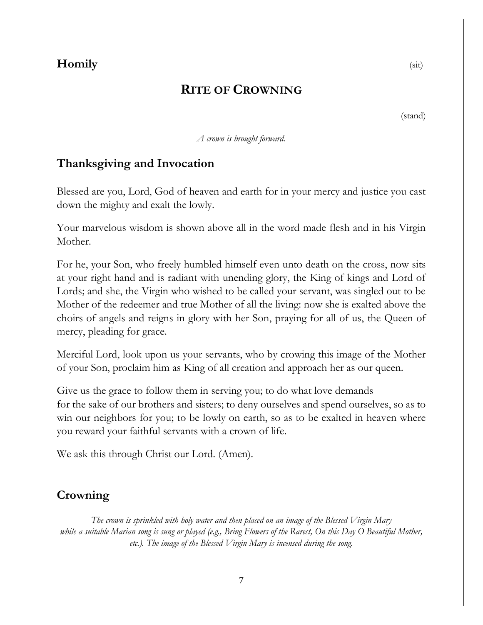# **Homily** (sit)

# **RITE OF CROWNING**

(stand)

*A crown is brought forward.*

# **Thanksgiving and Invocation**

Blessed are you, Lord, God of heaven and earth for in your mercy and justice you cast down the mighty and exalt the lowly.

Your marvelous wisdom is shown above all in the word made flesh and in his Virgin Mother.

For he, your Son, who freely humbled himself even unto death on the cross, now sits at your right hand and is radiant with unending glory, the King of kings and Lord of Lords; and she, the Virgin who wished to be called your servant, was singled out to be Mother of the redeemer and true Mother of all the living: now she is exalted above the choirs of angels and reigns in glory with her Son, praying for all of us, the Queen of mercy, pleading for grace.

Merciful Lord, look upon us your servants, who by crowing this image of the Mother of your Son, proclaim him as King of all creation and approach her as our queen.

Give us the grace to follow them in serving you; to do what love demands for the sake of our brothers and sisters; to deny ourselves and spend ourselves, so as to win our neighbors for you; to be lowly on earth, so as to be exalted in heaven where you reward your faithful servants with a crown of life.

We ask this through Christ our Lord. (Amen).

# **Crowning**

*The crown is sprinkled with holy water and then placed on an image of the Blessed Virgin Mary while a suitable Marian song is sung or played (e.g., Bring Flowers of the Rarest, On this Day O Beautiful Mother, etc.). The image of the Blessed Virgin Mary is incensed during the song.*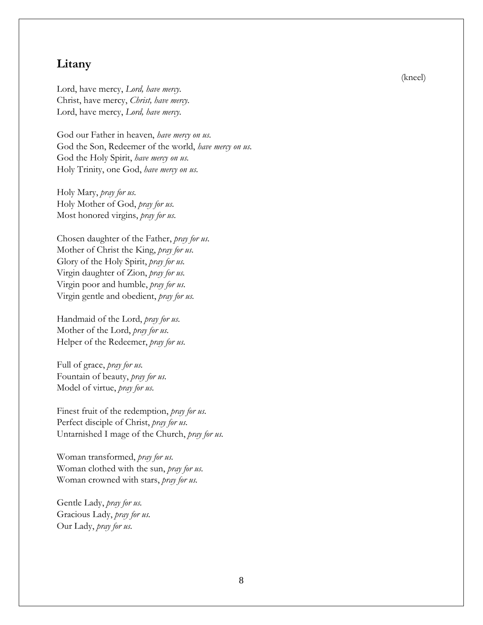#### **Litany**

Lord, have mercy, *Lord, have mercy.* Christ, have mercy, *Christ, have mercy.* Lord, have mercy, *Lord, have mercy.*

God our Father in heaven, *have mercy on us.* God the Son, Redeemer of the world, *have mercy on us.* God the Holy Spirit, *have mercy on us.* Holy Trinity, one God, *have mercy on us.*

Holy Mary, *pray for us.* Holy Mother of God, *pray for us.* Most honored virgins, *pray for us.*

Chosen daughter of the Father, *pray for us.* Mother of Christ the King, *pray for us.* Glory of the Holy Spirit, *pray for us.* Virgin daughter of Zion, *pray for us.*  Virgin poor and humble, *pray for us.* Virgin gentle and obedient, *pray for us.*

Handmaid of the Lord, *pray for us.* Mother of the Lord, *pray for us.* Helper of the Redeemer, *pray for us.*

Full of grace, *pray for us.* Fountain of beauty, *pray for us.* Model of virtue, *pray for us.*

Finest fruit of the redemption, *pray for us.* Perfect disciple of Christ, *pray for us.* Untarnished I mage of the Church, *pray for us.*

Woman transformed, *pray for us.* Woman clothed with the sun, *pray for us.* Woman crowned with stars, *pray for us.*

Gentle Lady, *pray for us.* Gracious Lady, *pray for us.* Our Lady, *pray for us.*

(kneel)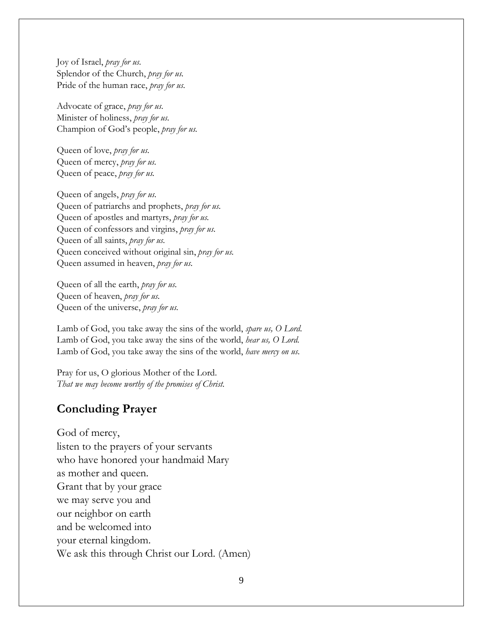Joy of Israel, *pray for us.* Splendor of the Church, *pray for us.* Pride of the human race, *pray for us.*

Advocate of grace, *pray for us.* Minister of holiness, *pray for us.* Champion of God's people, *pray for us.*

Queen of love, *pray for us.* Queen of mercy, *pray for us.* Queen of peace, *pray for us.*

Queen of angels, *pray for us.* Queen of patriarchs and prophets, *pray for us.* Queen of apostles and martyrs, *pray for us.* Queen of confessors and virgins, *pray for us.* Queen of all saints, *pray for us.* Queen conceived without original sin, *pray for us.* Queen assumed in heaven, *pray for us.*

Queen of all the earth, *pray for us.* Queen of heaven, *pray for us.* Queen of the universe, *pray for us.*

Lamb of God, you take away the sins of the world, *spare us, O Lord.* Lamb of God, you take away the sins of the world, *hear us, O Lord.* Lamb of God, you take away the sins of the world, *have mercy on us.*

Pray for us, O glorious Mother of the Lord. *That we may become worthy of the promises of Christ.*

#### **Concluding Prayer**

God of mercy, listen to the prayers of your servants who have honored your handmaid Mary as mother and queen. Grant that by your grace we may serve you and our neighbor on earth and be welcomed into your eternal kingdom. We ask this through Christ our Lord. (Amen)